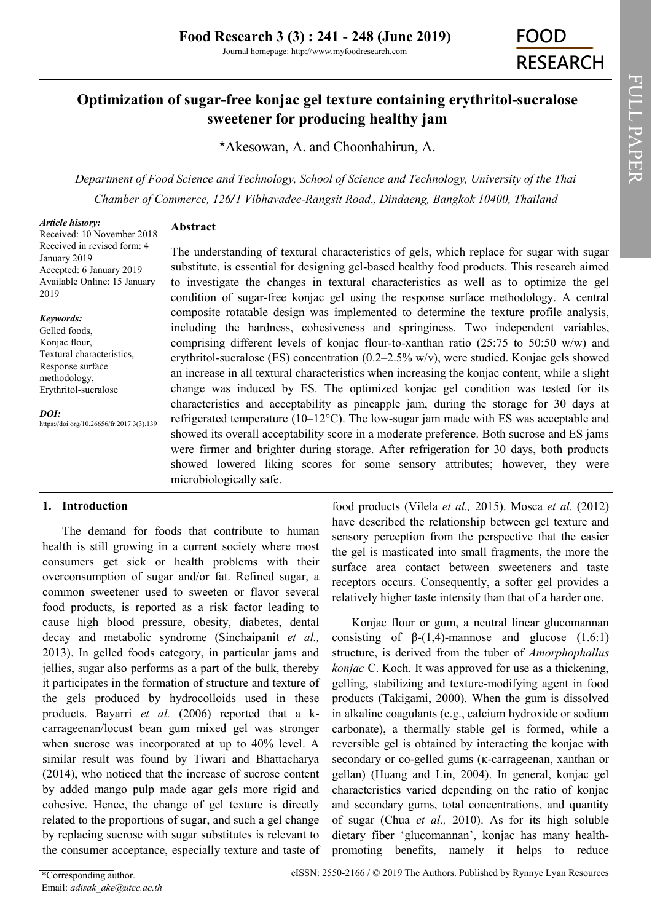# **Optimization of sugar-free konjac gel texture containing erythritol-sucralose sweetener for producing healthy jam**

\*Akesowan, A. and Choonhahirun, A.

*Department of Food Science and Technology, School of Science and Technology, University of the Thai Chamber of Commerce, 126/1 Vibhavadee-Rangsit Road., Dindaeng, Bangkok 10400, Thailand*

#### *Article history:*

**Abstract**

Received: 10 November 2018 Received in revised form: 4 January 2019 Accepted: 6 January 2019 Available Online: 15 January 2019

#### *Keywords:*

Gelled foods, Konjac flour, Textural characteristics, Response surface methodology, Erythritol-sucralose

*DOI:*

https://doi.org/10.26656/fr.2017.3(3).139

The understanding of textural characteristics of gels, which replace for sugar with sugar substitute, is essential for designing gel-based healthy food products. This research aimed to investigate the changes in textural characteristics as well as to optimize the gel condition of sugar-free konjac gel using the response surface methodology. A central composite rotatable design was implemented to determine the texture profile analysis, including the hardness, cohesiveness and springiness. Two independent variables, comprising different levels of konjac flour-to-xanthan ratio (25:75 to 50:50 w/w) and erythritol-sucralose (ES) concentration (0.2–2.5% w/v), were studied. Konjac gels showed an increase in all textural characteristics when increasing the konjac content, while a slight change was induced by ES. The optimized konjac gel condition was tested for its characteristics and acceptability as pineapple jam, during the storage for 30 days at refrigerated temperature (10–12°C). The low-sugar jam made with ES was acceptable and showed its overall acceptability score in a moderate preference. Both sucrose and ES jams were firmer and brighter during storage. After refrigeration for 30 days, both products showed lowered liking scores for some sensory attributes; however, they were microbiologically safe.

# **1. Introduction**

The demand for foods that contribute to human health is still growing in a current society where most consumers get sick or health problems with their overconsumption of sugar and/or fat. Refined sugar, a common sweetener used to sweeten or flavor several food products, is reported as a risk factor leading to cause high blood pressure, obesity, diabetes, dental decay and metabolic syndrome (Sinchaipanit *et al.,*  2013). In gelled foods category, in particular jams and jellies, sugar also performs as a part of the bulk, thereby it participates in the formation of structure and texture of the gels produced by hydrocolloids used in these products. Bayarri *et al.* (2006) reported that a kcarrageenan/locust bean gum mixed gel was stronger when sucrose was incorporated at up to 40% level. A similar result was found by Tiwari and Bhattacharya (2014), who noticed that the increase of sucrose content by added mango pulp made agar gels more rigid and cohesive. Hence, the change of gel texture is directly related to the proportions of sugar, and such a gel change by replacing sucrose with sugar substitutes is relevant to the consumer acceptance, especially texture and taste of

food products (Vilela *et al.,* 2015). Mosca *et al.* (2012) have described the relationship between gel texture and sensory perception from the perspective that the easier the gel is masticated into small fragments, the more the surface area contact between sweeteners and taste receptors occurs. Consequently, a softer gel provides a relatively higher taste intensity than that of a harder one.

Konjac flour or gum, a neutral linear glucomannan consisting of  $β-(1,4)$ -mannose and glucose (1.6:1) structure, is derived from the tuber of *Amorphophallus konjac* C. Koch. It was approved for use as a thickening, gelling, stabilizing and texture-modifying agent in food products (Takigami, 2000). When the gum is dissolved in alkaline coagulants (e.g., calcium hydroxide or sodium carbonate), a thermally stable gel is formed, while a reversible gel is obtained by interacting the konjac with secondary or co-gelled gums (κ-carrageenan, xanthan or gellan) (Huang and Lin, 2004). In general, konjac gel characteristics varied depending on the ratio of konjac and secondary gums, total concentrations, and quantity of sugar (Chua *et al.,* 2010). As for its high soluble dietary fiber 'glucomannan', konjac has many healthpromoting benefits, namely it helps to reduce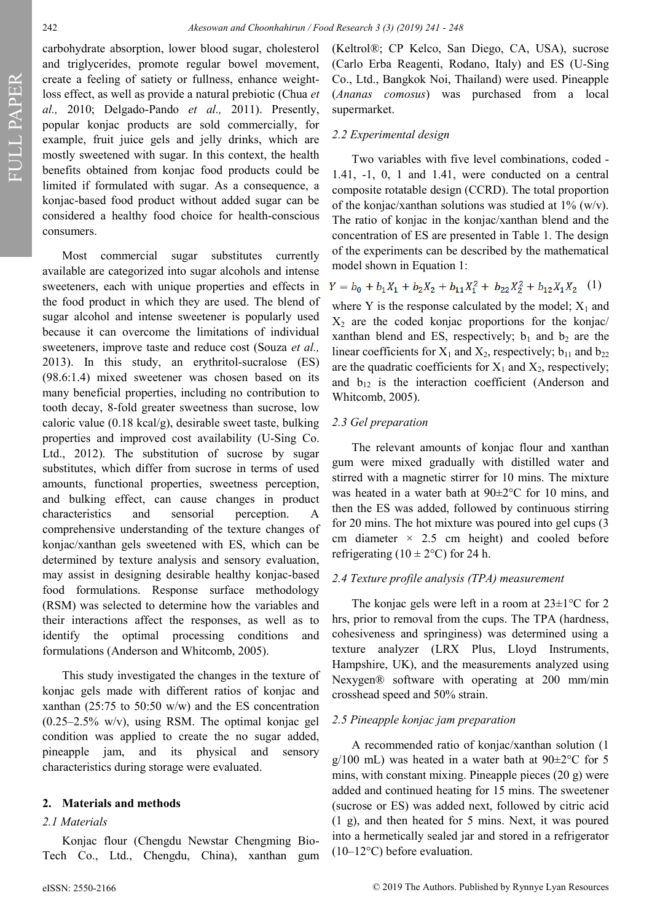FULL PAPER

carbohydrate absorption, lower blood sugar, cholesterol and triglycerides, promote regular bowel movement, create a feeling of satiety or fullness, enhance weightloss effect, as well as provide a natural prebiotic (Chua *et al.,* 2010; Delgado-Pando *et al.,* 2011). Presently, popular konjac products are sold commercially, for example, fruit juice gels and jelly drinks, which are mostly sweetened with sugar. In this context, the health benefits obtained from konjac food products could be limited if formulated with sugar. As a consequence, a konjac-based food product without added sugar can be considered a healthy food choice for health-conscious consumers.

Most commercial sugar substitutes currently available are categorized into sugar alcohols and intense sweeteners, each with unique properties and effects in the food product in which they are used. The blend of sugar alcohol and intense sweetener is popularly used because it can overcome the limitations of individual sweeteners, improve taste and reduce cost (Souza *et al.,*  2013). In this study, an erythritol-sucralose (ES) (98.6:1.4) mixed sweetener was chosen based on its many beneficial properties, including no contribution to tooth decay, 8-fold greater sweetness than sucrose, low caloric value (0.18 kcal/g), desirable sweet taste, bulking properties and improved cost availability (U-Sing Co. Ltd., 2012). The substitution of sucrose by sugar substitutes, which differ from sucrose in terms of used amounts, functional properties, sweetness perception, and bulking effect, can cause changes in product characteristics and sensorial perception. A comprehensive understanding of the texture changes of konjac/xanthan gels sweetened with ES, which can be determined by texture analysis and sensory evaluation, may assist in designing desirable healthy konjac-based food formulations. Response surface methodology (RSM) was selected to determine how the variables and their interactions affect the responses, as well as to identify the optimal processing conditions and formulations (Anderson and Whitcomb, 2005).

This study investigated the changes in the texture of konjac gels made with different ratios of konjac and xanthan (25:75 to 50:50 w/w) and the ES concentration (0.25–2.5% w/v), using RSM. The optimal konjac gel condition was applied to create the no sugar added, pineapple jam, and its physical and sensory characteristics during storage were evaluated.

#### **2. Materials and methods**

#### *2.1 Materials*

Konjac flour (Chengdu Newstar Chengming Bio-Tech Co., Ltd., Chengdu, China), xanthan gum (Keltrol®; CP Kelco, San Diego, CA, USA), sucrose (Carlo Erba Reagenti, Rodano, Italy) and ES (U-Sing Co., Ltd., Bangkok Noi, Thailand) were used. Pineapple (*Ananas comosus*) was purchased from a local supermarket.

### *2.2 Experimental design*

Two variables with five level combinations, coded - 1.41, -1, 0, 1 and 1.41, were conducted on a central composite rotatable design (CCRD). The total proportion of the konjac/xanthan solutions was studied at  $1\%$  (w/v). The ratio of konjac in the konjac/xanthan blend and the concentration of ES are presented in Table 1. The design of the experiments can be described by the mathematical model shown in Equation 1:

$$
Y = b_0 + b_1 X_1 + b_2 X_2 + b_{11} X_1^2 + b_{22} X_2^2 + b_{12} X_1 X_2 \tag{1}
$$

where Y is the response calculated by the model;  $X_1$  and  $X_2$  are the coded konjac proportions for the konjac/ xanthan blend and ES, respectively;  $b_1$  and  $b_2$  are the linear coefficients for  $X_1$  and  $X_2$ , respectively;  $b_{11}$  and  $b_{22}$ are the quadratic coefficients for  $X_1$  and  $X_2$ , respectively; and  $b_{12}$  is the interaction coefficient (Anderson and Whitcomb, 2005).

#### *2.3 Gel preparation*

The relevant amounts of konjac flour and xanthan gum were mixed gradually with distilled water and stirred with a magnetic stirrer for 10 mins. The mixture was heated in a water bath at 90±2°C for 10 mins, and then the ES was added, followed by continuous stirring for 20 mins. The hot mixture was poured into gel cups (3 cm diameter  $\times$  2.5 cm height) and cooled before refrigerating ( $10 \pm 2$ °C) for 24 h.

#### *2.4 Texture profile analysis (TPA) measurement*

The konjac gels were left in a room at  $23\pm1\,^{\circ}\text{C}$  for 2 hrs, prior to removal from the cups. The TPA (hardness, cohesiveness and springiness) was determined using a texture analyzer (LRX Plus, Lloyd Instruments, Hampshire, UK), and the measurements analyzed using Nexygen® software with operating at 200 mm/min crosshead speed and 50% strain.

#### *2.5 Pineapple konjac jam preparation*

A recommended ratio of konjac/xanthan solution (1  $g/100$  mL) was heated in a water bath at  $90\pm2\degree$ C for 5 mins, with constant mixing. Pineapple pieces (20 g) were added and continued heating for 15 mins. The sweetener (sucrose or ES) was added next, followed by citric acid (1 g), and then heated for 5 mins. Next, it was poured into a hermetically sealed jar and stored in a refrigerator  $(10-12\degree C)$  before evaluation.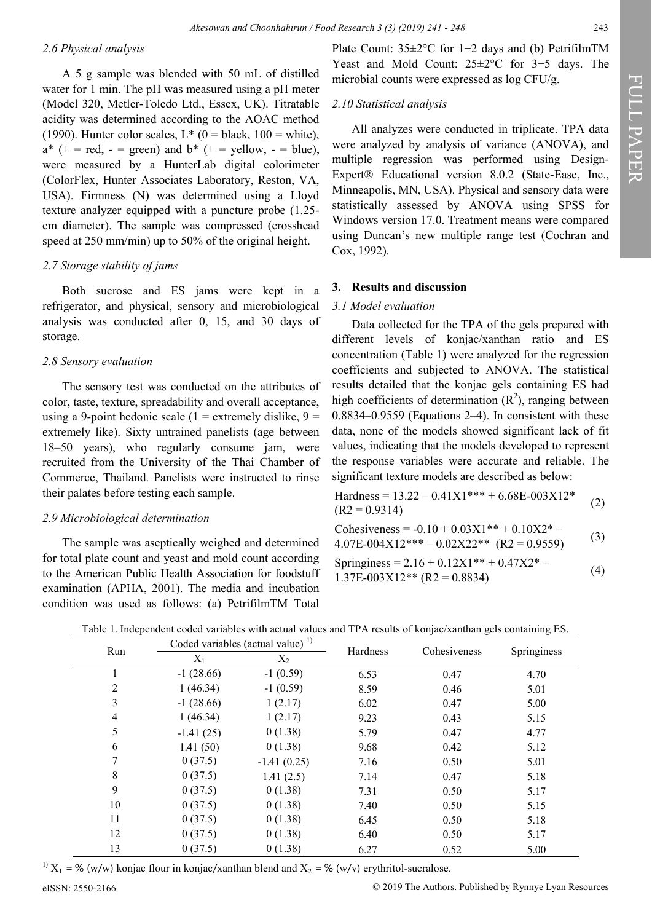### *2.6 Physical analysis*

A 5 g sample was blended with 50 mL of distilled water for 1 min. The pH was measured using a pH meter (Model 320, Metler-Toledo Ltd., Essex, UK). Titratable acidity was determined according to the AOAC method (1990). Hunter color scales,  $L^*$  (0 = black, 100 = white),  $a^*$  (+ = red, - = green) and  $b^*$  (+ = yellow, - = blue), were measured by a HunterLab digital colorimeter (ColorFlex, Hunter Associates Laboratory, Reston, VA, USA). Firmness (N) was determined using a Lloyd texture analyzer equipped with a puncture probe (1.25 cm diameter). The sample was compressed (crosshead speed at 250 mm/min) up to 50% of the original height.

### *2.7 Storage stability of jams*

Both sucrose and ES jams were kept in a refrigerator, and physical, sensory and microbiological analysis was conducted after 0, 15, and 30 days of storage.

### *2.8 Sensory evaluation*

The sensory test was conducted on the attributes of color, taste, texture, spreadability and overall acceptance, using a 9-point hedonic scale (1 = extremely dislike,  $9 =$ extremely like). Sixty untrained panelists (age between 18–50 years), who regularly consume jam, were recruited from the University of the Thai Chamber of Commerce, Thailand. Panelists were instructed to rinse their palates before testing each sample.

### *2.9 Microbiological determination*

The sample was aseptically weighed and determined for total plate count and yeast and mold count according to the American Public Health Association for foodstuff examination (APHA, 2001). The media and incubation condition was used as follows: (a) PetrifilmTM Total Plate Count: 35±2°C for 1−2 days and (b) PetrifilmTM Yeast and Mold Count: 25±2°C for 3−5 days. The microbial counts were expressed as log CFU/g.

### *2.10 Statistical analysis*

All analyzes were conducted in triplicate. TPA data were analyzed by analysis of variance (ANOVA), and multiple regression was performed using Design-Expert® Educational version 8.0.2 (State-Ease, Inc., Minneapolis, MN, USA). Physical and sensory data were statistically assessed by ANOVA using SPSS for Windows version 17.0. Treatment means were compared using Duncan's new multiple range test (Cochran and Cox, 1992).

### **3. Results and discussion**

# *3.1 Model evaluation*

Data collected for the TPA of the gels prepared with different levels of konjac/xanthan ratio and ES concentration (Table 1) were analyzed for the regression coefficients and subjected to ANOVA. The statistical results detailed that the konjac gels containing ES had high coefficients of determination  $(R^2)$ , ranging between 0.8834–0.9559 (Equations 2–4). In consistent with these data, none of the models showed significant lack of fit values, indicating that the models developed to represent the response variables were accurate and reliable. The significant texture models are described as below:

Hardness = 
$$
13.22 - 0.41X1*** + 6.68E-003X12*
$$
  
(R2 = 0.9314) (2)

Cohesiveness = 
$$
-0.10 + 0.03X1^{**} + 0.10X2^{*} -
$$
  
\n4.07E-004X12^{\*\*\*} - 0.02X22^{\*\*} (R2 = 0.9559)  
\nSpringiness =  $2.16 + 0.12X1^{**} + 0.47X2^{*} -$  (4)

1.37E-003X12\*\* (R2 = 0.8834) (4)

| Run            | Coded variables (actual value) <sup>1)</sup> |               | Hardness | Cohesiveness | Springiness |
|----------------|----------------------------------------------|---------------|----------|--------------|-------------|
|                | $X_1$                                        | $X_2$         |          |              |             |
| 1              | $-1(28.66)$                                  | $-1(0.59)$    | 6.53     | 0.47         | 4.70        |
| $\overline{2}$ | 1(46.34)                                     | $-1(0.59)$    | 8.59     | 0.46         | 5.01        |
| $\overline{3}$ | $-1(28.66)$                                  | 1(2.17)       | 6.02     | 0.47         | 5.00        |
| $\overline{4}$ | 1(46.34)                                     | 1(2.17)       | 9.23     | 0.43         | 5.15        |
| 5              | $-1.41(25)$                                  | 0(1.38)       | 5.79     | 0.47         | 4.77        |
| 6              | 1.41(50)                                     | 0(1.38)       | 9.68     | 0.42         | 5.12        |
| 7              | 0(37.5)                                      | $-1.41(0.25)$ | 7.16     | 0.50         | 5.01        |
| 8              | 0(37.5)                                      | 1.41(2.5)     | 7.14     | 0.47         | 5.18        |
| 9              | 0(37.5)                                      | 0(1.38)       | 7.31     | 0.50         | 5.17        |
| 10             | 0(37.5)                                      | 0(1.38)       | 7.40     | 0.50         | 5.15        |
| 11             | 0(37.5)                                      | 0(1.38)       | 6.45     | 0.50         | 5.18        |
| 12             | 0(37.5)                                      | 0(1.38)       | 6.40     | 0.50         | 5.17        |
| 13             | 0(37.5)                                      | 0(1.38)       | 6.27     | 0.52         | 5.00        |

Table 1. Independent coded variables with actual values and TPA results of konjac/xanthan gels containing ES.

<sup>1)</sup>  $X_1$  = % (w/w) konjac flour in konjac/xanthan blend and  $X_2$  = % (w/v) erythritol-sucralose.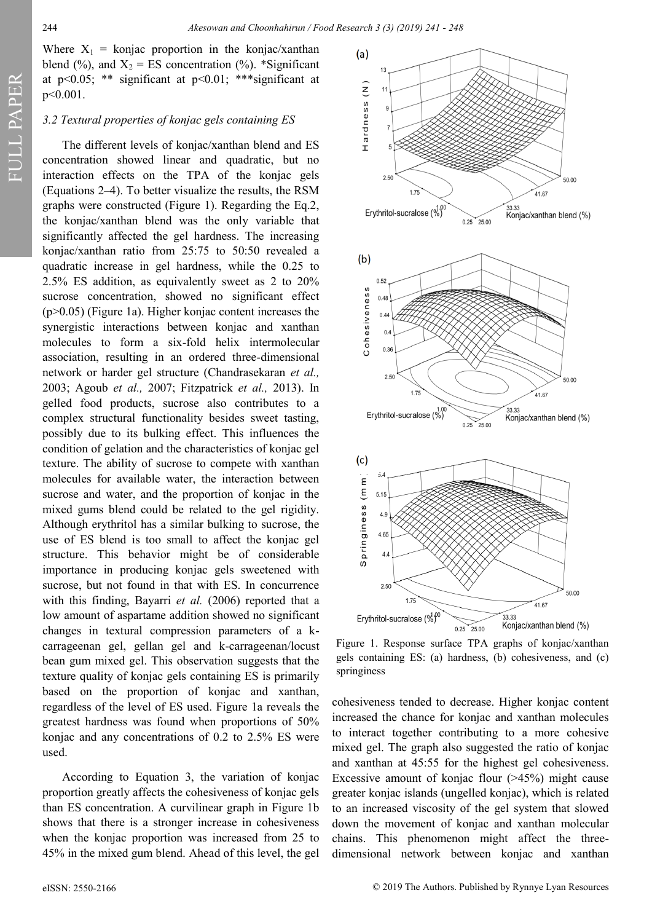FULL PAPER

Where  $X_1$  = konjac proportion in the konjac/xanthan blend (%), and  $X_2 = ES$  concentration (%). \*Significant at  $p<0.05$ ; \*\* significant at  $p<0.01$ ; \*\*\* significant at  $p \leq 0.001$ .

### *3.2 Textural properties of konjac gels containing ES*

The different levels of konjac/xanthan blend and ES concentration showed linear and quadratic, but no interaction effects on the TPA of the konjac gels (Equations 2–4). To better visualize the results, the RSM graphs were constructed (Figure 1). Regarding the Eq.2, the konjac/xanthan blend was the only variable that significantly affected the gel hardness. The increasing konjac/xanthan ratio from 25:75 to 50:50 revealed a quadratic increase in gel hardness, while the 0.25 to 2.5% ES addition, as equivalently sweet as 2 to 20% sucrose concentration, showed no significant effect (p>0.05) (Figure 1a). Higher konjac content increases the synergistic interactions between konjac and xanthan molecules to form a six-fold helix intermolecular association, resulting in an ordered three-dimensional network or harder gel structure (Chandrasekaran *et al.,*  2003; Agoub *et al.,* 2007; Fitzpatrick *et al.,* 2013). In gelled food products, sucrose also contributes to a complex structural functionality besides sweet tasting, possibly due to its bulking effect. This influences the condition of gelation and the characteristics of konjac gel texture. The ability of sucrose to compete with xanthan molecules for available water, the interaction between sucrose and water, and the proportion of konjac in the mixed gums blend could be related to the gel rigidity. Although erythritol has a similar bulking to sucrose, the use of ES blend is too small to affect the konjac gel structure. This behavior might be of considerable importance in producing konjac gels sweetened with sucrose, but not found in that with ES. In concurrence with this finding, Bayarri *et al.* (2006) reported that a low amount of aspartame addition showed no significant changes in textural compression parameters of a kcarrageenan gel, gellan gel and k-carrageenan/locust bean gum mixed gel. This observation suggests that the texture quality of konjac gels containing ES is primarily based on the proportion of konjac and xanthan, regardless of the level of ES used. Figure 1a reveals the greatest hardness was found when proportions of 50% konjac and any concentrations of 0.2 to 2.5% ES were used.

According to Equation 3, the variation of konjac proportion greatly affects the cohesiveness of konjac gels than ES concentration. A curvilinear graph in Figure 1b shows that there is a stronger increase in cohesiveness when the konjac proportion was increased from 25 to 45% in the mixed gum blend. Ahead of this level, the gel



Figure 1. Response surface TPA graphs of konjac/xanthan gels containing ES: (a) hardness, (b) cohesiveness, and (c) springiness

cohesiveness tended to decrease. Higher konjac content increased the chance for konjac and xanthan molecules to interact together contributing to a more cohesive mixed gel. The graph also suggested the ratio of konjac and xanthan at 45:55 for the highest gel cohesiveness. Excessive amount of konjac flour (>45%) might cause greater konjac islands (ungelled konjac), which is related to an increased viscosity of the gel system that slowed down the movement of konjac and xanthan molecular chains. This phenomenon might affect the threedimensional network between konjac and xanthan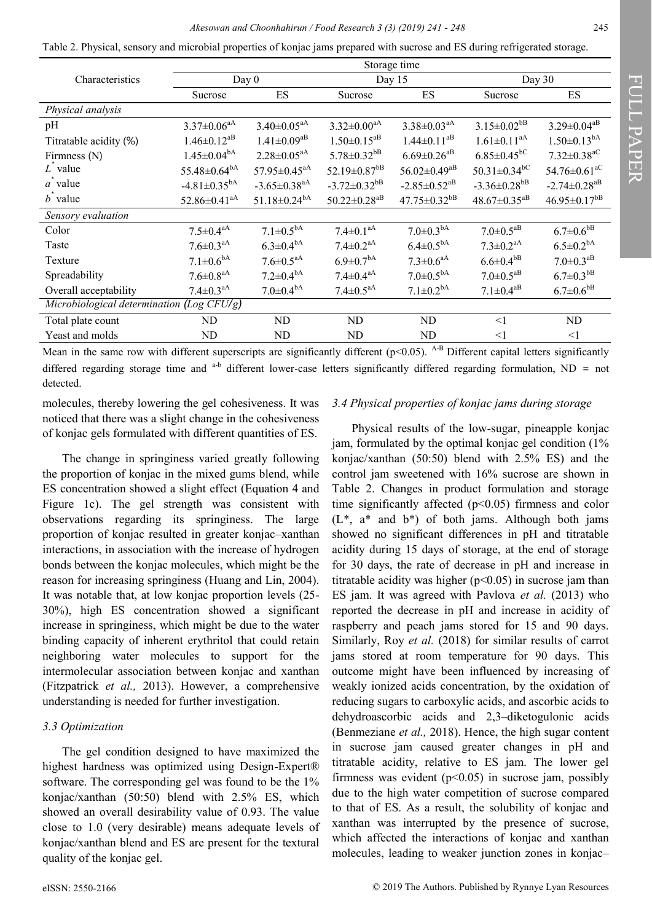Table 2. Physical, sensory and microbial properties of konjac jams prepared with sucrose and ES during refrigerated storage.

|                                           | Storage time                   |                                |                                |                                |                                |                                |  |  |
|-------------------------------------------|--------------------------------|--------------------------------|--------------------------------|--------------------------------|--------------------------------|--------------------------------|--|--|
| Characteristics                           | Day 0                          |                                | Day 15                         |                                | Day $30$                       |                                |  |  |
|                                           | Sucrose                        | ES                             | Sucrose                        | ES                             | Sucrose                        | ES                             |  |  |
| Physical analysis                         |                                |                                |                                |                                |                                |                                |  |  |
| pH                                        | $3.37 \pm 0.06$ <sup>aA</sup>  | $3.40 \pm 0.05$ <sup>aA</sup>  | $3.32 \pm 0.00^{\text{aA}}$    | $3.38 \pm 0.03$ <sup>aA</sup>  | $3.15 \pm 0.02$ <sup>bB</sup>  | $3.29 \pm 0.04^{aB}$           |  |  |
| Titratable acidity (%)                    | $1.46 \pm 0.12$ <sup>aB</sup>  | $1.41 \pm 0.09$ <sup>aB</sup>  | $1.50 \pm 0.15$ <sup>aB</sup>  | $1.44 \pm 0.11^{aB}$           | $1.61 \pm 0.11$ <sup>aA</sup>  | $1.50 \pm 0.13^{bA}$           |  |  |
| Firmness (N)                              | $1.45 \pm 0.04^{bA}$           | $2.28 \pm 0.05$ <sup>aA</sup>  | $5.78 \pm 0.32$ <sup>bB</sup>  | $6.69 \pm 0.26$ <sup>aB</sup>  | $6.85 \pm 0.45$ <sup>bC</sup>  | $7.32 \pm 0.38$ <sup>aC</sup>  |  |  |
| $\overline{L}$ value                      | $55.48 \pm 0.64^{bA}$          | $57.95 \pm 0.45$ <sup>aA</sup> | 52.19 $\pm$ 0.87 $b$ B         | $56.02 \pm 0.49$ <sup>aB</sup> | $50.31 \pm 0.34$ <sup>bC</sup> | 54.76 $\pm$ 0.61 <sup>aC</sup> |  |  |
| $\overline{a}$ value                      | $-4.81 \pm 0.35^{bA}$          | $-3.65 \pm 0.38$ <sup>aA</sup> | $-3.72 \pm 0.32$ <sup>bB</sup> | $-2.85 \pm 0.52$ <sup>aB</sup> | $-3.36 \pm 0.28$ <sup>bB</sup> | $-2.74 \pm 0.28$ <sup>aB</sup> |  |  |
| $\vec{b}$ value                           | $52.86 \pm 0.41$ <sup>aA</sup> | $51.18 \pm 0.24$ <sup>bA</sup> | $50.22 \pm 0.28$ <sup>aB</sup> | $47.75 \pm 0.32$ <sup>bB</sup> | $48.67 \pm 0.35$ <sup>aB</sup> | $46.95 \pm 0.17^{bB}$          |  |  |
| Sensory evaluation                        |                                |                                |                                |                                |                                |                                |  |  |
| Color                                     | $7.5 \pm 0.4^{\text{aA}}$      | $7.1 \pm 0.5^{bA}$             | $7.4 \pm 0.1$ <sup>aA</sup>    | $7.0 \pm 0.3^{\rm bA}$         | $7.0 \pm 0.5^{aB}$             | $6.7{\pm}0.6^{\mathrm{bB}}$    |  |  |
| Taste                                     | $7.6 \pm 0.3$ <sup>aA</sup>    | $6.3 \pm 0.4^{bA}$             | $7.4 \pm 0.2$ <sup>aA</sup>    | $6.4 \pm 0.5^{bA}$             | $7.3 \pm 0.2$ <sup>aA</sup>    | $6.5 \pm 0.2$ <sup>bA</sup>    |  |  |
| Texture                                   | $7.1 \pm 0.6^{\rm bA}$         | $7.6 \pm 0.5^{aA}$             | $6.9 \pm 0.7$ <sup>bA</sup>    | $7.3 \pm 0.6$ <sup>aA</sup>    | $6.6 \pm 0.4^{bB}$             | $7.0 \pm 0.3$ <sup>aB</sup>    |  |  |
| Spreadability                             | $7.6 \pm 0.8$ <sup>aA</sup>    | $7.2 \pm 0.4^{\rm bA}$         | $7.4 \pm 0.4^{\text{aA}}$      | $7.0 \pm 0.5^{bA}$             | $7.0 \pm 0.5$ <sup>aB</sup>    | $6.7 \pm 0.3$ <sup>bB</sup>    |  |  |
| Overall acceptability                     | $7.4 \pm 0.3$ <sup>aA</sup>    | $7.0{\pm}0.4^{\mathrm{bA}}$    | $7.4 \pm 0.5^{aA}$             | $7.1{\pm}0.2^{\mathrm{bA}}$    | $7.1 \pm 0.4^{aB}$             | $6.7 \pm 0.6$ <sup>bB</sup>    |  |  |
| Microbiological determination (Log CFU/g) |                                |                                |                                |                                |                                |                                |  |  |
| Total plate count                         | ND                             | ND                             | ND                             | ND                             | <1                             | ND                             |  |  |
| Yeast and molds                           | ND                             | ND                             | ND                             | ND                             | $\leq$ 1                       | $\leq$ 1                       |  |  |
|                                           |                                |                                |                                |                                |                                |                                |  |  |

Mean in the same row with different superscripts are significantly different ( $p$ <0.05). A-B Different capital letters significantly differed regarding storage time and <sup>a-b</sup> different lower-case letters significantly differed regarding formulation, ND = not detected.

molecules, thereby lowering the gel cohesiveness. It was noticed that there was a slight change in the cohesiveness of konjac gels formulated with different quantities of ES.

The change in springiness varied greatly following the proportion of konjac in the mixed gums blend, while ES concentration showed a slight effect (Equation 4 and Figure 1c). The gel strength was consistent with observations regarding its springiness. The large proportion of konjac resulted in greater konjac–xanthan interactions, in association with the increase of hydrogen bonds between the konjac molecules, which might be the reason for increasing springiness (Huang and Lin, 2004). It was notable that, at low konjac proportion levels (25- 30%), high ES concentration showed a significant increase in springiness, which might be due to the water binding capacity of inherent erythritol that could retain neighboring water molecules to support for the intermolecular association between konjac and xanthan (Fitzpatrick *et al.,* 2013). However, a comprehensive understanding is needed for further investigation.

# *3.3 Optimization*

The gel condition designed to have maximized the highest hardness was optimized using Design-Expert® software. The corresponding gel was found to be the 1% konjac/xanthan (50:50) blend with 2.5% ES, which showed an overall desirability value of 0.93. The value close to 1.0 (very desirable) means adequate levels of konjac/xanthan blend and ES are present for the textural quality of the konjac gel.

# *3.4 Physical properties of konjac jams during storage*

Physical results of the low-sugar, pineapple konjac jam, formulated by the optimal konjac gel condition (1% konjac/xanthan (50:50) blend with 2.5% ES) and the control jam sweetened with 16% sucrose are shown in Table 2. Changes in product formulation and storage time significantly affected  $(p<0.05)$  firmness and color  $(L^*, a^*$  and  $b^*)$  of both jams. Although both jams showed no significant differences in pH and titratable acidity during 15 days of storage, at the end of storage for 30 days, the rate of decrease in pH and increase in titratable acidity was higher  $(p<0.05)$  in sucrose jam than ES jam. It was agreed with Pavlova *et al.* (2013) who reported the decrease in pH and increase in acidity of raspberry and peach jams stored for 15 and 90 days. Similarly, Roy *et al.* (2018) for similar results of carrot jams stored at room temperature for 90 days. This outcome might have been influenced by increasing of weakly ionized acids concentration, by the oxidation of reducing sugars to carboxylic acids, and ascorbic acids to dehydroascorbic acids and 2,3–diketogulonic acids (Benmeziane *et al.,* 2018). Hence, the high sugar content in sucrose jam caused greater changes in pH and titratable acidity, relative to ES jam. The lower gel firmness was evident  $(p<0.05)$  in sucrose jam, possibly due to the high water competition of sucrose compared to that of ES. As a result, the solubility of konjac and xanthan was interrupted by the presence of sucrose, which affected the interactions of konjac and xanthan molecules, leading to weaker junction zones in konjac–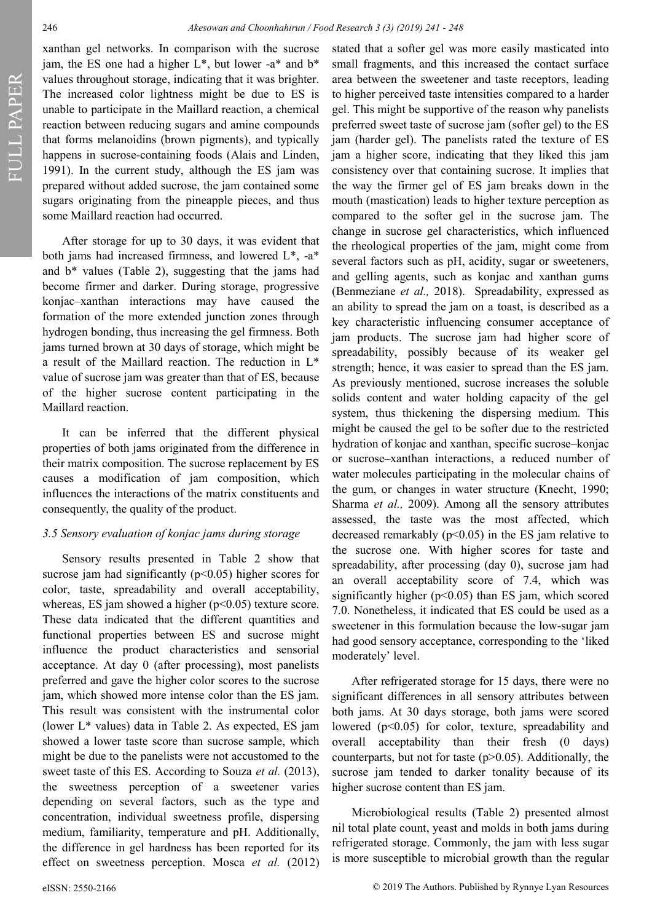FULL PAPER FULL PAPER

xanthan gel networks. In comparison with the sucrose jam, the ES one had a higher  $L^*$ , but lower -a\* and  $b^*$ values throughout storage, indicating that it was brighter. The increased color lightness might be due to ES is unable to participate in the Maillard reaction, a chemical reaction between reducing sugars and amine compounds that forms melanoidins (brown pigments), and typically happens in sucrose-containing foods (Alais and Linden, 1991). In the current study, although the ES jam was prepared without added sucrose, the jam contained some sugars originating from the pineapple pieces, and thus some Maillard reaction had occurred.

After storage for up to 30 days, it was evident that both jams had increased firmness, and lowered L\*, -a\* and b\* values (Table 2), suggesting that the jams had become firmer and darker. During storage, progressive konjac–xanthan interactions may have caused the formation of the more extended junction zones through hydrogen bonding, thus increasing the gel firmness. Both jams turned brown at 30 days of storage, which might be a result of the Maillard reaction. The reduction in L\* value of sucrose jam was greater than that of ES, because of the higher sucrose content participating in the Maillard reaction.

It can be inferred that the different physical properties of both jams originated from the difference in their matrix composition. The sucrose replacement by ES causes a modification of jam composition, which influences the interactions of the matrix constituents and consequently, the quality of the product.

### *3.5 Sensory evaluation of konjac jams during storage*

Sensory results presented in Table 2 show that sucrose jam had significantly  $(p<0.05)$  higher scores for color, taste, spreadability and overall acceptability, whereas, ES jam showed a higher  $(p<0.05)$  texture score. These data indicated that the different quantities and functional properties between ES and sucrose might influence the product characteristics and sensorial acceptance. At day 0 (after processing), most panelists preferred and gave the higher color scores to the sucrose jam, which showed more intense color than the ES jam. This result was consistent with the instrumental color (lower L\* values) data in Table 2. As expected, ES jam showed a lower taste score than sucrose sample, which might be due to the panelists were not accustomed to the sweet taste of this ES. According to Souza et al. (2013), the sweetness perception of a sweetener varies depending on several factors, such as the type and concentration, individual sweetness profile, dispersing medium, familiarity, temperature and pH. Additionally, the difference in gel hardness has been reported for its effect on sweetness perception. Mosca *et al.* (2012)

stated that a softer gel was more easily masticated into small fragments, and this increased the contact surface area between the sweetener and taste receptors, leading to higher perceived taste intensities compared to a harder gel. This might be supportive of the reason why panelists preferred sweet taste of sucrose jam (softer gel) to the ES jam (harder gel). The panelists rated the texture of ES jam a higher score, indicating that they liked this jam consistency over that containing sucrose. It implies that the way the firmer gel of ES jam breaks down in the mouth (mastication) leads to higher texture perception as compared to the softer gel in the sucrose jam. The change in sucrose gel characteristics, which influenced the rheological properties of the jam, might come from several factors such as pH, acidity, sugar or sweeteners, and gelling agents, such as konjac and xanthan gums (Benmeziane *et al.,* 2018). Spreadability, expressed as an ability to spread the jam on a toast, is described as a key characteristic influencing consumer acceptance of jam products. The sucrose jam had higher score of spreadability, possibly because of its weaker gel strength; hence, it was easier to spread than the ES jam. As previously mentioned, sucrose increases the soluble solids content and water holding capacity of the gel system, thus thickening the dispersing medium. This might be caused the gel to be softer due to the restricted hydration of konjac and xanthan, specific sucrose–konjac or sucrose–xanthan interactions, a reduced number of water molecules participating in the molecular chains of the gum, or changes in water structure (Knecht, 1990; Sharma *et al.,* 2009). Among all the sensory attributes assessed, the taste was the most affected, which decreased remarkably  $(p<0.05)$  in the ES jam relative to the sucrose one. With higher scores for taste and spreadability, after processing (day 0), sucrose jam had an overall acceptability score of 7.4, which was significantly higher ( $p$ <0.05) than ES jam, which scored 7.0. Nonetheless, it indicated that ES could be used as a sweetener in this formulation because the low-sugar jam had good sensory acceptance, corresponding to the 'liked moderately' level.

After refrigerated storage for 15 days, there were no significant differences in all sensory attributes between both jams. At 30 days storage, both jams were scored lowered  $(p<0.05)$  for color, texture, spreadability and overall acceptability than their fresh (0 days) counterparts, but not for taste  $(p>0.05)$ . Additionally, the sucrose jam tended to darker tonality because of its higher sucrose content than ES jam.

Microbiological results (Table 2) presented almost nil total plate count, yeast and molds in both jams during refrigerated storage. Commonly, the jam with less sugar is more susceptible to microbial growth than the regular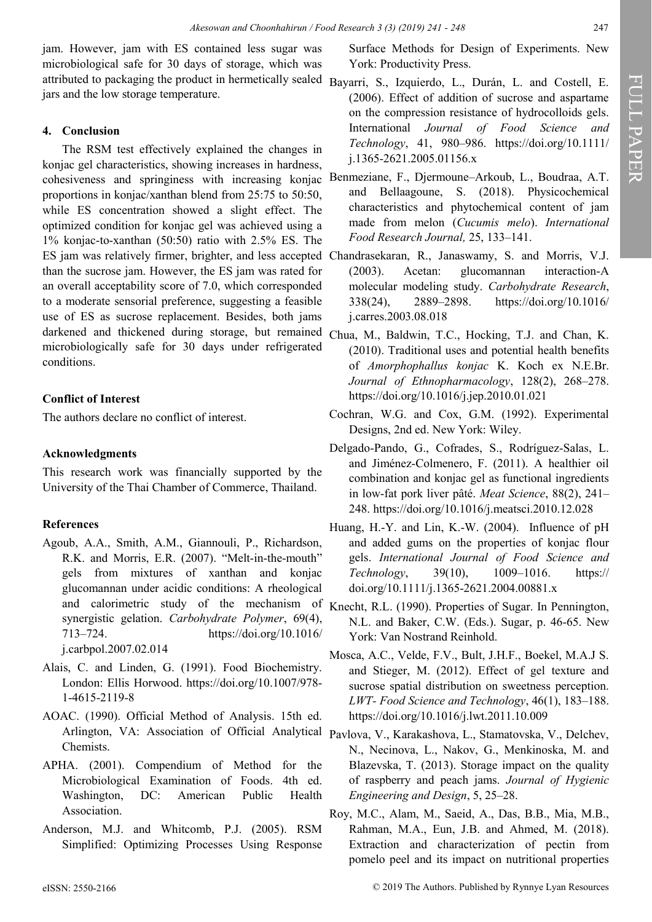jam. However, jam with ES contained less sugar was microbiological safe for 30 days of storage, which was attributed to packaging the product in hermetically sealed Bayarri, S., Izquierdo, L., Durán, L. and Costell, E. jars and the low storage temperature.

# **4. Conclusion**

The RSM test effectively explained the changes in konjac gel characteristics, showing increases in hardness, cohesiveness and springiness with increasing konjac proportions in konjac/xanthan blend from 25:75 to 50:50, while ES concentration showed a slight effect. The optimized condition for konjac gel was achieved using a 1% konjac-to-xanthan (50:50) ratio with 2.5% ES. The ES jam was relatively firmer, brighter, and less accepted Chandrasekaran, R., Janaswamy, S. and Morris, V.J. than the sucrose jam. However, the ES jam was rated for an overall acceptability score of 7.0, which corresponded to a moderate sensorial preference, suggesting a feasible use of ES as sucrose replacement. Besides, both jams darkened and thickened during storage, but remained microbiologically safe for 30 days under refrigerated conditions.

# **Conflict of Interest**

The authors declare no conflict of interest.

# **Acknowledgments**

This research work was financially supported by the University of the Thai Chamber of Commerce, Thailand.

# **References**

- Agoub, A.A., Smith, A.M., Giannouli, P., Richardson, R.K. and Morris, E.R. (2007). "Melt-in-the-mouth" gels from mixtures of xanthan and konjac glucomannan under acidic conditions: A rheological and calorimetric study of the mechanism of Knecht, R.L. (1990). Properties of Sugar. In Pennington, synergistic gelation. *Carbohydrate Polymer*, 69(4), 713–724. https://doi.org/10.1016/ j.carbpol.2007.02.014
- Alais, C. and Linden, G. (1991). Food Biochemistry. London: Ellis Horwood. https://doi.org/10.1007/978- 1-4615-2119-8
- AOAC. (1990). Official Method of Analysis. 15th ed. Arlington, VA: Association of Official Analytical Pavlova, V., Karakashova, L., Stamatovska, V., Delchev, Chemists.
- APHA. (2001). Compendium of Method for the Microbiological Examination of Foods. 4th ed. Washington, DC: American Public Health Association.
- Anderson, M.J. and Whitcomb, P.J. (2005). RSM Simplified: Optimizing Processes Using Response

Surface Methods for Design of Experiments. New York: Productivity Press.

- (2006). Effect of addition of sucrose and aspartame on the compression resistance of hydrocolloids gels. International *Journal of Food Science and Technology*, 41, 980–986. https://doi.org/10.1111/ j.1365-2621.2005.01156.x
- Benmeziane, F., Djermoune–Arkoub, L., Boudraa, A.T. and Bellaagoune, S. (2018). Physicochemical characteristics and phytochemical content of jam made from melon (*Cucumis melo*). *International Food Research Journal,* 25, 133–141.
- (2003). Acetan: glucomannan interaction-A molecular modeling study. *Carbohydrate Research*, 338(24), 2889–2898. https://doi.org/10.1016/ j.carres.2003.08.018
- Chua, M., Baldwin, T.C., Hocking, T.J. and Chan, K. (2010). Traditional uses and potential health benefits of *Amorphophallus konjac* K. Koch ex N.E.Br. *Journal of Ethnopharmacology*, 128(2), 268–278. https://doi.org/10.1016/j.jep.2010.01.021
- Cochran, W.G. and Cox, G.M. (1992). Experimental Designs, 2nd ed. New York: Wiley.
- Delgado-Pando, G., Cofrades, S., Rodríguez-Salas, L. and Jiménez-Colmenero, F. (2011). A healthier oil combination and konjac gel as functional ingredients in low-fat pork liver pâté. *Meat Science*, 88(2), 241– 248. https://doi.org/10.1016/j.meatsci.2010.12.028
- Huang, H.-Y. and Lin, K.-W. (2004). Influence of pH and added gums on the properties of konjac flour gels. *International Journal of Food Science and Technology*, 39(10), 1009–1016. https:// doi.org/10.1111/j.1365-2621.2004.00881.x
- N.L. and Baker, C.W. (Eds.). Sugar, p. 46-65. New York: Van Nostrand Reinhold.
- Mosca, A.C., Velde, F.V., Bult, J.H.F., Boekel, M.A.J S. and Stieger, M. (2012). Effect of gel texture and sucrose spatial distribution on sweetness perception. *LWT- Food Science and Technology*, 46(1), 183–188. https://doi.org/10.1016/j.lwt.2011.10.009
- N., Necinova, L., Nakov, G., Menkinoska, M. and Blazevska, T. (2013). Storage impact on the quality of raspberry and peach jams. *Journal of Hygienic Engineering and Design*, 5, 25–28.
- Roy, M.C., Alam, M., Saeid, A., Das, B.B., Mia, M.B., Rahman, M.A., Eun, J.B. and Ahmed, M. (2018). Extraction and characterization of pectin from pomelo peel and its impact on nutritional properties